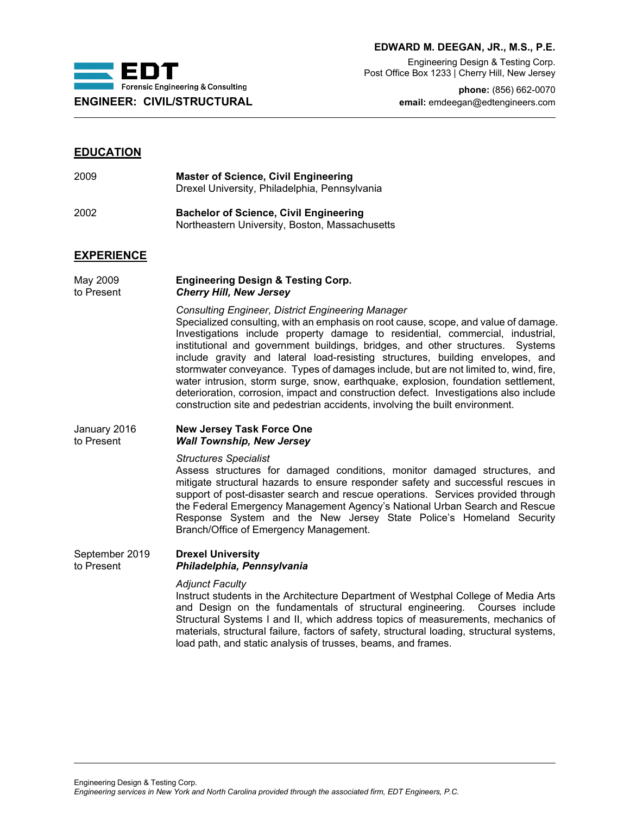

## **EDWARD M. DEEGAN, JR., M.S., P.E.**

Engineering Design & Testing Corp. Post Office Box 1233 | Cherry Hill, New Jersey

**phone:** (856) 662-0070 **ENGINEER: CIVIL/STRUCTURAL email:** emdeegan@edtengineers.com

# **EDUCATION**

| 2009 | <b>Master of Science, Civil Engineering</b>   |
|------|-----------------------------------------------|
|      | Drexel University, Philadelphia, Pennsylvania |
|      |                                               |

2002 **Bachelor of Science, Civil Engineering** Northeastern University, Boston, Massachusetts

# **EXPERIENCE**

May 2009 **Engineering Design & Testing Corp. Cherry Hill, New Jersey** 

*Consulting Engineer, District Engineering Manager*

Specialized consulting, with an emphasis on root cause, scope, and value of damage. Investigations include property damage to residential, commercial, industrial, institutional and government buildings, bridges, and other structures. Systems include gravity and lateral load-resisting structures, building envelopes, and stormwater conveyance. Types of damages include, but are not limited to, wind, fire, water intrusion, storm surge, snow, earthquake, explosion, foundation settlement, deterioration, corrosion, impact and construction defect. Investigations also include construction site and pedestrian accidents, involving the built environment.

#### January 2016 **New Jersey Task Force One Wall Township, New Jersey**

*Structures Specialist*

Assess structures for damaged conditions, monitor damaged structures, and mitigate structural hazards to ensure responder safety and successful rescues in support of post-disaster search and rescue operations. Services provided through the Federal Emergency Management Agency's National Urban Search and Rescue Response System and the New Jersey State Police's Homeland Security Branch/Office of Emergency Management.

## September 2019 **Drexel University** to Present *Philadelphia, Pennsylvania*

#### *Adjunct Faculty*

Instruct students in the Architecture Department of Westphal College of Media Arts and Design on the fundamentals of structural engineering. Courses include Structural Systems I and II, which address topics of measurements, mechanics of materials, structural failure, factors of safety, structural loading, structural systems, load path, and static analysis of trusses, beams, and frames.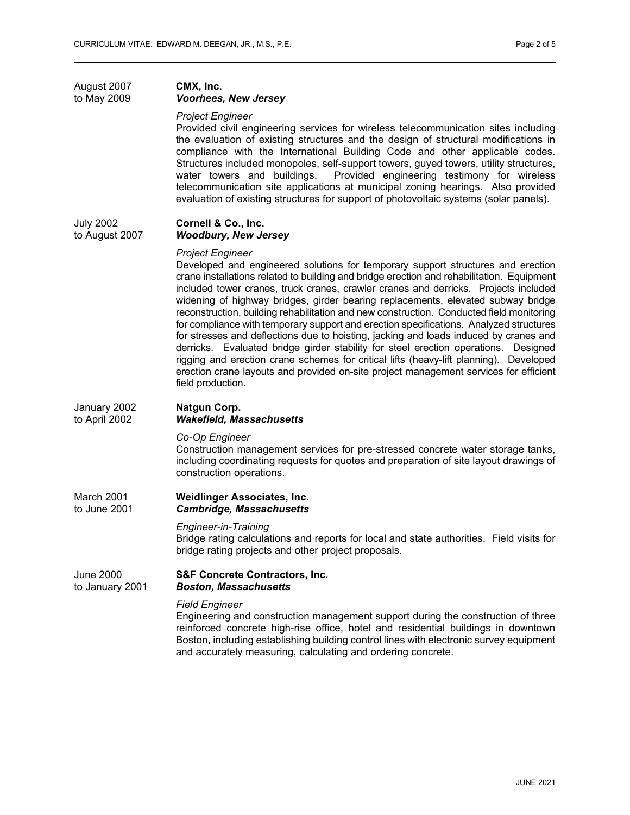# August 2007 **CMX, Inc.** to May 2009 *Voorhees, New Jersey*

#### *Project Engineer*

Provided civil engineering services for wireless telecommunication sites including the evaluation of existing structures and the design of structural modifications in compliance with the International Building Code and other applicable codes. Structures included monopoles, self-support towers, guyed towers, utility structures,<br>water towers and buildings. Provided engineering testimony for wireless Provided engineering testimony for wireless telecommunication site applications at municipal zoning hearings. Also provided evaluation of existing structures for support of photovoltaic systems (solar panels).

#### July 2002 **Cornell & Co., Inc.**<br>to August 2007 **Woodbury, New Je Woodbury, New Jersey**

# *Project Engineer*

Developed and engineered solutions for temporary support structures and erection crane installations related to building and bridge erection and rehabilitation. Equipment included tower cranes, truck cranes, crawler cranes and derricks. Projects included widening of highway bridges, girder bearing replacements, elevated subway bridge reconstruction, building rehabilitation and new construction. Conducted field monitoring for compliance with temporary support and erection specifications. Analyzed structures for stresses and deflections due to hoisting, jacking and loads induced by cranes and derricks. Evaluated bridge girder stability for steel erection operations. Designed rigging and erection crane schemes for critical lifts (heavy-lift planning). Developed erection crane layouts and provided on-site project management services for efficient field production.

#### January 2002 **Natgun Corp. Wakefield, Massachusetts**

#### *Co-Op Engineer*

Construction management services for pre-stressed concrete water storage tanks, including coordinating requests for quotes and preparation of site layout drawings of construction operations.

March 2001 **Weidlinger Associates, Inc. Cambridge, Massachusetts** 

#### *Engineer-in-Training*

Bridge rating calculations and reports for local and state authorities. Field visits for bridge rating projects and other project proposals.

#### June 2000 **S&F Concrete Contractors, Inc.** to January 2001 *Boston, Massachusetts*

#### *Field Engineer*

Engineering and construction management support during the construction of three reinforced concrete high-rise office, hotel and residential buildings in downtown Boston, including establishing building control lines with electronic survey equipment and accurately measuring, calculating and ordering concrete.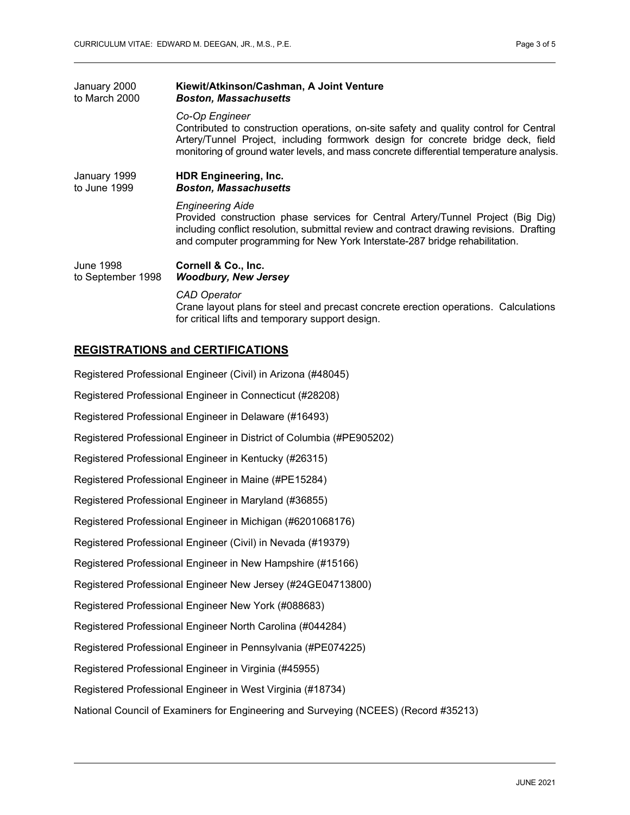| January 2000<br>to March 2000         | Kiewit/Atkinson/Cashman, A Joint Venture<br><b>Boston, Massachusetts</b>                                                                                                                                                                                                                |
|---------------------------------------|-----------------------------------------------------------------------------------------------------------------------------------------------------------------------------------------------------------------------------------------------------------------------------------------|
|                                       | Co-Op Engineer<br>Contributed to construction operations, on-site safety and quality control for Central<br>Artery/Tunnel Project, including formwork design for concrete bridge deck, field<br>monitoring of ground water levels, and mass concrete differential temperature analysis. |
| January 1999<br>to June 1999          | <b>HDR Engineering, Inc.</b><br><b>Boston, Massachusetts</b>                                                                                                                                                                                                                            |
|                                       | <b>Engineering Aide</b><br>Provided construction phase services for Central Artery/Tunnel Project (Big Dig)<br>including conflict resolution, submittal review and contract drawing revisions. Drafting<br>and computer programming for New York Interstate-287 bridge rehabilitation.  |
| <b>June 1998</b><br>to September 1998 | Cornell & Co., Inc.<br><b>Woodbury, New Jersey</b>                                                                                                                                                                                                                                      |
|                                       | CAD Operator<br>Crane layout plans for steel and precast concrete erection operations. Calculations<br>for critical lifts and temporary support design.                                                                                                                                 |

# **REGISTRATIONS and CERTIFICATIONS**

Registered Professional Engineer (Civil) in Arizona (#48045) Registered Professional Engineer in Connecticut (#28208) Registered Professional Engineer in Delaware (#16493) Registered Professional Engineer in District of Columbia (#PE905202) Registered Professional Engineer in Kentucky (#26315) Registered Professional Engineer in Maine (#PE15284) Registered Professional Engineer in Maryland (#36855) Registered Professional Engineer in Michigan (#6201068176) Registered Professional Engineer (Civil) in Nevada (#19379) Registered Professional Engineer in New Hampshire (#15166) Registered Professional Engineer New Jersey (#24GE04713800) Registered Professional Engineer New York (#088683) Registered Professional Engineer North Carolina (#044284) Registered Professional Engineer in Pennsylvania (#PE074225) Registered Professional Engineer in Virginia (#45955) Registered Professional Engineer in West Virginia (#18734) National Council of Examiners for Engineering and Surveying (NCEES) (Record #35213)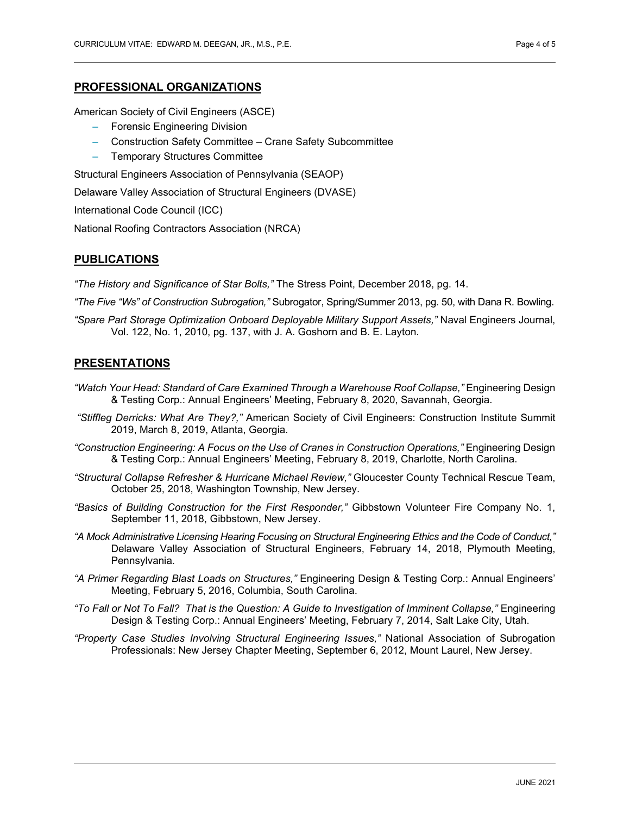## **PROFESSIONAL ORGANIZATIONS**

American Society of Civil Engineers (ASCE)

- Forensic Engineering Division
- Construction Safety Committee Crane Safety Subcommittee
- Temporary Structures Committee

Structural Engineers Association of Pennsylvania (SEAOP)

Delaware Valley Association of Structural Engineers (DVASE)

International Code Council (ICC)

National Roofing Contractors Association (NRCA)

# **PUBLICATIONS**

*"The History and Significance of Star Bolts,"* The Stress Point, December 2018, pg. 14.

*"The Five "Ws" of Construction Subrogation,"* Subrogator, Spring/Summer 2013, pg. 50, with Dana R. Bowling.

*"Spare Part Storage Optimization Onboard Deployable Military Support Assets,"* Naval Engineers Journal, Vol. 122, No. 1, 2010, pg. 137, with J. A. Goshorn and B. E. Layton.

## **PRESENTATIONS**

- *"Watch Your Head: Standard of Care Examined Through a Warehouse Roof Collapse,"* Engineering Design & Testing Corp.: Annual Engineers' Meeting, February 8, 2020, Savannah, Georgia.
- *"Stiffleg Derricks: What Are They?,"* American Society of Civil Engineers: Construction Institute Summit 2019, March 8, 2019, Atlanta, Georgia.
- *"Construction Engineering: A Focus on the Use of Cranes in Construction Operations,"* Engineering Design & Testing Corp.: Annual Engineers' Meeting, February 8, 2019, Charlotte, North Carolina.
- *"Structural Collapse Refresher & Hurricane Michael Review,"* Gloucester County Technical Rescue Team, October 25, 2018, Washington Township, New Jersey.
- *"Basics of Building Construction for the First Responder,"* Gibbstown Volunteer Fire Company No. 1, September 11, 2018, Gibbstown, New Jersey.
- *"A Mock Administrative Licensing Hearing Focusing on Structural Engineering Ethics and the Code of Conduct,"* Delaware Valley Association of Structural Engineers, February 14, 2018, Plymouth Meeting, Pennsylvania.
- *"A Primer Regarding Blast Loads on Structures,"* Engineering Design & Testing Corp.: Annual Engineers' Meeting, February 5, 2016, Columbia, South Carolina.
- *"To Fall or Not To Fall? That is the Question: A Guide to Investigation of Imminent Collapse,"* Engineering Design & Testing Corp.: Annual Engineers' Meeting, February 7, 2014, Salt Lake City, Utah.
- *"Property Case Studies Involving Structural Engineering Issues,"* National Association of Subrogation Professionals: New Jersey Chapter Meeting, September 6, 2012, Mount Laurel, New Jersey.